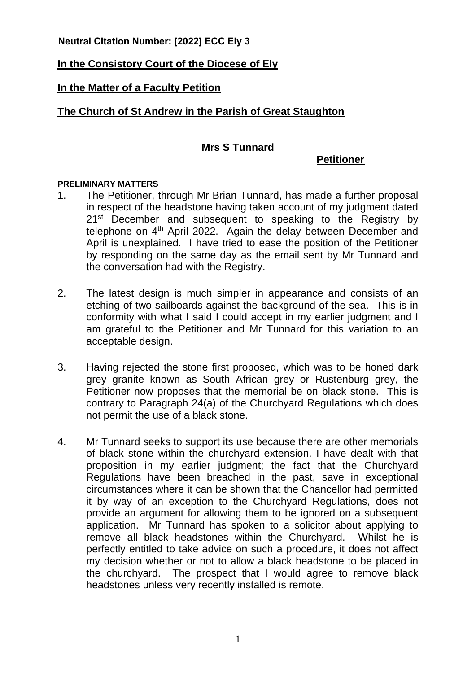**Neutral Citation Number: [2022] ECC Ely 3**

# **In the Consistory Court of the Diocese of Ely**

# **In the Matter of a Faculty Petition**

# **The Church of St Andrew in the Parish of Great Staughton**

### **Mrs S Tunnard**

**Petitioner**

### **PRELIMINARY MATTERS**

- 1. The Petitioner, through Mr Brian Tunnard, has made a further proposal in respect of the headstone having taken account of my judgment dated 21<sup>st</sup> December and subsequent to speaking to the Registry by telephone on 4<sup>th</sup> April 2022. Again the delay between December and April is unexplained. I have tried to ease the position of the Petitioner by responding on the same day as the email sent by Mr Tunnard and the conversation had with the Registry.
- 2. The latest design is much simpler in appearance and consists of an etching of two sailboards against the background of the sea. This is in conformity with what I said I could accept in my earlier judgment and I am grateful to the Petitioner and Mr Tunnard for this variation to an acceptable design.
- 3. Having rejected the stone first proposed, which was to be honed dark grey granite known as South African grey or Rustenburg grey, the Petitioner now proposes that the memorial be on black stone. This is contrary to Paragraph 24(a) of the Churchyard Regulations which does not permit the use of a black stone.
- 4. Mr Tunnard seeks to support its use because there are other memorials of black stone within the churchyard extension. I have dealt with that proposition in my earlier judgment; the fact that the Churchyard Regulations have been breached in the past, save in exceptional circumstances where it can be shown that the Chancellor had permitted it by way of an exception to the Churchyard Regulations, does not provide an argument for allowing them to be ignored on a subsequent application. Mr Tunnard has spoken to a solicitor about applying to remove all black headstones within the Churchyard. Whilst he is perfectly entitled to take advice on such a procedure, it does not affect my decision whether or not to allow a black headstone to be placed in the churchyard. The prospect that I would agree to remove black headstones unless very recently installed is remote.